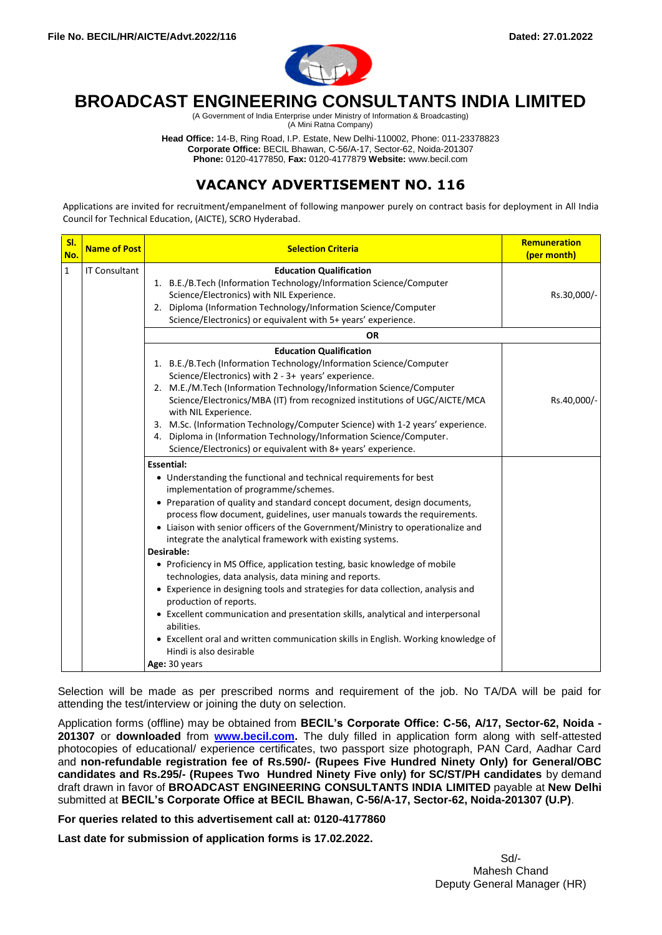

# **BROADCAST ENGINEERING CONSULTANTS INDIA LIMITED**

(A Government of India Enterprise under Ministry of Information & Broadcasting) (A Mini Ratna Company)

**Head Office:** 14-B, Ring Road, I.P. Estate, New Delhi-110002, Phone: 011-23378823 **Corporate Office:** BECIL Bhawan, C-56/A-17, Sector-62, Noida-201307 **Phone:** 0120-4177850, **Fax:** 0120-4177879 **Website:** www.becil.com

## **VACANCY ADVERTISEMENT NO. 116**

Applications are invited for recruitment/empanelment of following manpower purely on contract basis for deployment in All India Council for Technical Education, (AICTE), SCRO Hyderabad.

| SI.<br>No.   | <b>Name of Post</b>  | <b>Selection Criteria</b>                                                                                                                                                                                                                                                                                                                                                                                                                                                                                                                                                                                                                                                                                                                                                                                                                                                                                                      | Remuneration<br>(per month) |
|--------------|----------------------|--------------------------------------------------------------------------------------------------------------------------------------------------------------------------------------------------------------------------------------------------------------------------------------------------------------------------------------------------------------------------------------------------------------------------------------------------------------------------------------------------------------------------------------------------------------------------------------------------------------------------------------------------------------------------------------------------------------------------------------------------------------------------------------------------------------------------------------------------------------------------------------------------------------------------------|-----------------------------|
| $\mathbf{1}$ | <b>IT Consultant</b> | <b>Education Qualification</b><br>1. B.E./B.Tech (Information Technology/Information Science/Computer<br>Science/Electronics) with NIL Experience.<br>2. Diploma (Information Technology/Information Science/Computer<br>Science/Electronics) or equivalent with 5+ years' experience.                                                                                                                                                                                                                                                                                                                                                                                                                                                                                                                                                                                                                                         | Rs.30,000/-                 |
|              |                      | <b>OR</b>                                                                                                                                                                                                                                                                                                                                                                                                                                                                                                                                                                                                                                                                                                                                                                                                                                                                                                                      |                             |
|              |                      | <b>Education Qualification</b><br>1. B.E./B.Tech (Information Technology/Information Science/Computer<br>Science/Electronics) with 2 - 3+ years' experience.<br>2. M.E./M.Tech (Information Technology/Information Science/Computer<br>Science/Electronics/MBA (IT) from recognized institutions of UGC/AICTE/MCA<br>with NIL Experience.<br>3. M.Sc. (Information Technology/Computer Science) with 1-2 years' experience.<br>4. Diploma in (Information Technology/Information Science/Computer.<br>Science/Electronics) or equivalent with 8+ years' experience.                                                                                                                                                                                                                                                                                                                                                            | Rs.40,000/-                 |
|              |                      | <b>Essential:</b><br>• Understanding the functional and technical requirements for best<br>implementation of programme/schemes.<br>• Preparation of quality and standard concept document, design documents,<br>process flow document, guidelines, user manuals towards the requirements.<br>• Liaison with senior officers of the Government/Ministry to operationalize and<br>integrate the analytical framework with existing systems.<br>Desirable:<br>• Proficiency in MS Office, application testing, basic knowledge of mobile<br>technologies, data analysis, data mining and reports.<br>• Experience in designing tools and strategies for data collection, analysis and<br>production of reports.<br>• Excellent communication and presentation skills, analytical and interpersonal<br>abilities.<br>• Excellent oral and written communication skills in English. Working knowledge of<br>Hindi is also desirable |                             |
|              |                      | Age: 30 years                                                                                                                                                                                                                                                                                                                                                                                                                                                                                                                                                                                                                                                                                                                                                                                                                                                                                                                  |                             |

Selection will be made as per prescribed norms and requirement of the job. No TA/DA will be paid for attending the test/interview or joining the duty on selection.

Application forms (offline) may be obtained from **BECIL's Corporate Office: C-56, A/17, Sector-62, Noida - 201307** or **downloaded** from **[www.becil.com.](http://www.becil.com/)** The duly filled in application form along with self-attested photocopies of educational/ experience certificates, two passport size photograph, PAN Card, Aadhar Card and **non-refundable registration fee of Rs.590/- (Rupees Five Hundred Ninety Only) for General/OBC candidates and Rs.295/- (Rupees Two Hundred Ninety Five only) for SC/ST/PH candidates** by demand draft drawn in favor of **BROADCAST ENGINEERING CONSULTANTS INDIA LIMITED** payable at **New Delhi** submitted at **BECIL's Corporate Office at BECIL Bhawan, C-56/A-17, Sector-62, Noida-201307 (U.P)**.

**For queries related to this advertisement call at: 0120-4177860** 

**Last date for submission of application forms is 17.02.2022.**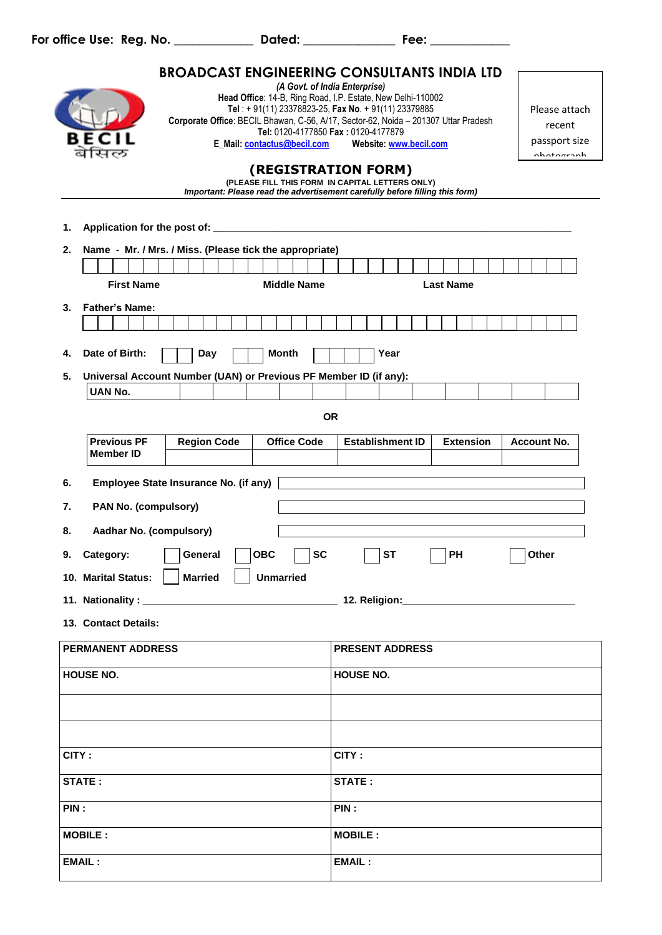| <b>BROADCAST ENGINEERING CONSULTANTS INDIA LTD</b> |                                                             |                                                                   |                             |                                                                                                                                                        |                  |                    |
|----------------------------------------------------|-------------------------------------------------------------|-------------------------------------------------------------------|-----------------------------|--------------------------------------------------------------------------------------------------------------------------------------------------------|------------------|--------------------|
| (A Govt. of India Enterprise)                      |                                                             |                                                                   |                             |                                                                                                                                                        |                  |                    |
|                                                    | Head Office: 14-B, Ring Road, I.P. Estate, New Delhi-110002 |                                                                   |                             |                                                                                                                                                        |                  |                    |
|                                                    |                                                             |                                                                   |                             | Tel: +91(11) 23378823-25, Fax No. +91(11) 23379885                                                                                                     |                  | Please attach      |
|                                                    |                                                             |                                                                   |                             | Corporate Office: BECIL Bhawan, C-56, A/17, Sector-62, Noida - 201307 Uttar Pradesh<br>Tel: 0120-4177850 Fax: 0120-4177879                             |                  | recent             |
|                                                    |                                                             |                                                                   | E_Mail: contactus@becil.com | Website: www.becil.com                                                                                                                                 |                  | passport size      |
|                                                    |                                                             |                                                                   |                             |                                                                                                                                                        |                  | nhotograph         |
|                                                    |                                                             |                                                                   |                             | (REGISTRATION FORM)<br>(PLEASE FILL THIS FORM IN CAPITAL LETTERS ONLY)<br>Important: Please read the advertisement carefully before filling this form) |                  |                    |
|                                                    |                                                             |                                                                   |                             |                                                                                                                                                        |                  |                    |
| 1.                                                 |                                                             |                                                                   |                             |                                                                                                                                                        |                  |                    |
| 2.                                                 |                                                             | Name - Mr. / Mrs. / Miss. (Please tick the appropriate)           |                             |                                                                                                                                                        |                  |                    |
|                                                    |                                                             |                                                                   |                             |                                                                                                                                                        |                  |                    |
|                                                    | <b>First Name</b>                                           |                                                                   | <b>Middle Name</b>          |                                                                                                                                                        | <b>Last Name</b> |                    |
|                                                    |                                                             |                                                                   |                             |                                                                                                                                                        |                  |                    |
| 3.                                                 | <b>Father's Name:</b>                                       |                                                                   |                             |                                                                                                                                                        |                  |                    |
|                                                    |                                                             |                                                                   |                             |                                                                                                                                                        |                  |                    |
| 4.                                                 | Date of Birth:                                              | Day                                                               | <b>Month</b>                | Year                                                                                                                                                   |                  |                    |
| 5.                                                 |                                                             | Universal Account Number (UAN) or Previous PF Member ID (if any): |                             |                                                                                                                                                        |                  |                    |
|                                                    | <b>UAN No.</b>                                              |                                                                   |                             |                                                                                                                                                        |                  |                    |
|                                                    |                                                             |                                                                   |                             |                                                                                                                                                        |                  |                    |
|                                                    |                                                             |                                                                   |                             | <b>OR</b>                                                                                                                                              |                  |                    |
|                                                    | <b>Previous PF</b>                                          | <b>Region Code</b>                                                | <b>Office Code</b>          | <b>Establishment ID</b>                                                                                                                                | <b>Extension</b> | <b>Account No.</b> |
|                                                    | <b>Member ID</b>                                            |                                                                   |                             |                                                                                                                                                        |                  |                    |
| 6.                                                 |                                                             | Employee State Insurance No. (if any)                             |                             |                                                                                                                                                        |                  |                    |
| 7.                                                 | PAN No. (compulsory)                                        |                                                                   |                             |                                                                                                                                                        |                  |                    |
| 8.                                                 | Aadhar No. (compulsory)                                     |                                                                   |                             |                                                                                                                                                        |                  |                    |
| 9.                                                 | Category:                                                   | General                                                           | <b>OBC</b><br><b>SC</b>     | <b>ST</b>                                                                                                                                              | PH               | Other              |
|                                                    |                                                             | 10. Marital Status:     Married     Unmarried                     |                             |                                                                                                                                                        |                  |                    |
|                                                    |                                                             |                                                                   |                             |                                                                                                                                                        |                  |                    |
|                                                    | 13. Contact Details:                                        |                                                                   |                             |                                                                                                                                                        |                  |                    |
|                                                    | <b>PERMANENT ADDRESS</b>                                    |                                                                   |                             | <b>PRESENT ADDRESS</b>                                                                                                                                 |                  |                    |
| <b>HOUSE NO.</b>                                   |                                                             |                                                                   | HOUSE NO.                   |                                                                                                                                                        |                  |                    |
|                                                    |                                                             |                                                                   |                             |                                                                                                                                                        |                  |                    |
|                                                    |                                                             |                                                                   |                             |                                                                                                                                                        |                  |                    |
| CITY:<br>CITY:                                     |                                                             |                                                                   |                             |                                                                                                                                                        |                  |                    |
| STATE:                                             |                                                             |                                                                   | STATE:                      |                                                                                                                                                        |                  |                    |
|                                                    | PIN:<br>PIN:                                                |                                                                   |                             |                                                                                                                                                        |                  |                    |
|                                                    |                                                             |                                                                   |                             |                                                                                                                                                        |                  |                    |
|                                                    | <b>MOBILE:</b>                                              |                                                                   |                             | <b>MOBILE:</b>                                                                                                                                         |                  |                    |